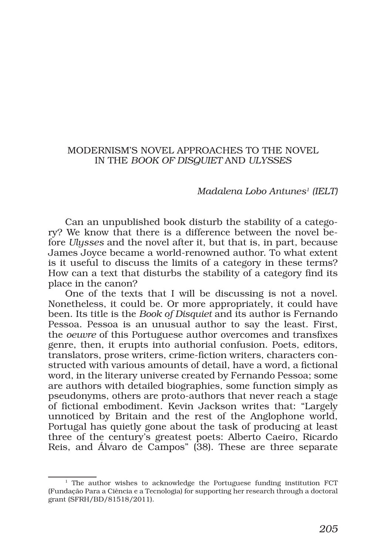## MODERNISM'S NOVEL APPROACHES TO THE NOVEL IN THE *BOOK OF DISQUIET* AND *ULYSSES*

## *Madalena Lobo Antunes1 (IELT)*

Can an unpublished book disturb the stability of a category? We know that there is a difference between the novel before *Ulysses* and the novel after it, but that is, in part, because James Joyce became a world-renowned author. To what extent is it useful to discuss the limits of a category in these terms? How can a text that disturbs the stability of a category find its place in the canon?

One of the texts that I will be discussing is not a novel. Nonetheless, it could be. Or more appropriately, it could have been. Its title is the *Book of Disquiet* and its author is Fernando Pessoa. Pessoa is an unusual author to say the least. First, the *oeuvre* of this Portuguese author overcomes and transfixes genre, then, it erupts into authorial confusion. Poets, editors, translators, prose writers, crime-fiction writers, characters constructed with various amounts of detail, have a word, a fictional word, in the literary universe created by Fernando Pessoa; some are authors with detailed biographies, some function simply as pseudonyms, others are proto-authors that never reach a stage of fictional embodiment. Kevin Jackson writes that: "Largely unnoticed by Britain and the rest of the Anglophone world, Portugal has quietly gone about the task of producing at least three of the century's greatest poets: Alberto Caeiro, Ricardo Reis, and Álvaro de Campos" (38). These are three separate

<sup>&</sup>lt;sup>1</sup> The author wishes to acknowledge the Portuguese funding institution FCT (Fundação Para a Ciência e a Tecnologia) for supporting her research through a doctoral grant (SFRH/BD/81518/2011).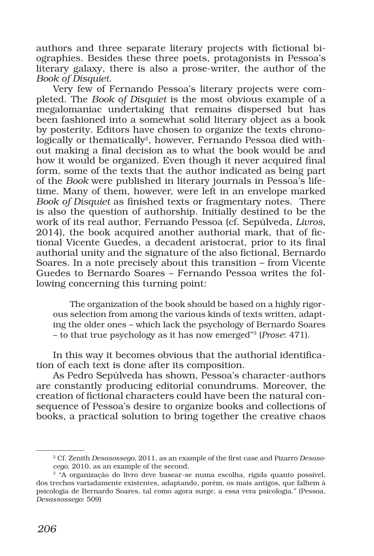authors and three separate literary projects with fictional biographies. Besides these three poets, protagonists in Pessoa's literary galaxy, there is also a prose-writer, the author of the *Book of Disquiet*.

Very few of Fernando Pessoa's literary projects were completed. The *Book of Disquiet* is the most obvious example of a megalomaniac undertaking that remains dispersed but has been fashioned into a somewhat solid literary object as a book by posterity. Editors have chosen to organize the texts chronologically or thematically<sup>2</sup>, however, Fernando Pessoa died without making a final decision as to what the book would be and how it would be organized. Even though it never acquired final form, some of the texts that the author indicated as being part of the *Book* were published in literary journals in Pessoa's lifetime. Many of them, however, were left in an envelope marked *Book of Disquiet* as finished texts or fragmentary notes. There is also the question of authorship. Initially destined to be the work of its real author, Fernando Pessoa (cf. Sepúlveda, *Livros*, 2014), the book acquired another authorial mark, that of fictional Vicente Guedes, a decadent aristocrat, prior to its final authorial unity and the signature of the also fictional, Bernardo Soares. In a note precisely about this transition – from Vicente Guedes to Bernardo Soares – Fernando Pessoa writes the following concerning this turning point:

The organization of the book should be based on a highly rigorous selection from among the various kinds of texts written, adapting the older ones – which lack the psychology of Bernardo Soares – to that true psychology as it has now emerged"3 (*Prose*: 471).

In this way it becomes obvious that the authorial identification of each text is done after its composition.

As Pedro Sepúlveda has shown, Pessoa's character-authors are constantly producing editorial conundrums. Moreover, the creation of fictional characters could have been the natural consequence of Pessoa's desire to organize books and collections of books, a practical solution to bring together the creative chaos

<sup>2</sup> Cf. Zenith *Desasossego*, 2011, as an example of the first case and Pizarro *Desasocego*, 2010, as an example of the second. 3 "A organização do livro deve basear-se numa escolha, rígida quanto possível,

dos trechos variadamente existentes, adaptando, porém, os mais antigos, que falhem à psicologia de Bernardo Soares, tal como agora surge, a essa vera psicologia." (Pessoa, *Desassossego*: 509)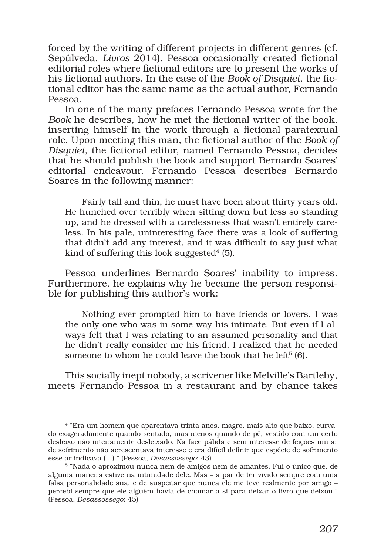forced by the writing of different projects in different genres (cf. Sepúlveda, *Livros* 2014). Pessoa occasionally created fictional editorial roles where fictional editors are to present the works of his fictional authors. In the case of the *Book of Disquiet*, the fictional editor has the same name as the actual author, Fernando Pessoa.

In one of the many prefaces Fernando Pessoa wrote for the *Book* he describes, how he met the fictional writer of the book, inserting himself in the work through a fictional paratextual role. Upon meeting this man, the fictional author of the *Book of Disquiet*, the fictional editor, named Fernando Pessoa, decides that he should publish the book and support Bernardo Soares' editorial endeavour. Fernando Pessoa describes Bernardo Soares in the following manner:

Fairly tall and thin, he must have been about thirty years old. He hunched over terribly when sitting down but less so standing up, and he dressed with a carelessness that wasn't entirely careless. In his pale, uninteresting face there was a look of suffering that didn't add any interest, and it was difficult to say just what kind of suffering this look suggested $4$  (5).

Pessoa underlines Bernardo Soares' inability to impress. Furthermore, he explains why he became the person responsible for publishing this author's work:

Nothing ever prompted him to have friends or lovers. I was the only one who was in some way his intimate. But even if I always felt that I was relating to an assumed personality and that he didn't really consider me his friend, I realized that he needed someone to whom he could leave the book that he left<sup>5</sup>  $(6)$ .

This socially inept nobody, a scrivener like Melville's Bartleby, meets Fernando Pessoa in a restaurant and by chance takes

<sup>4 &</sup>quot;Era um homem que aparentava trinta anos, magro, mais alto que baixo, curvado exageradamente quando sentado, mas menos quando de pé, vestido com um certo desleixo não inteiramente desleixado. Na face pálida e sem interesse de feições um ar de sofrimento não acrescentava interesse e era difícil definir que espécie de sofrimento esse ar indicava (...)." (Pessoa, *Desassossego*: 43)<br><sup>5</sup> "Nada o aproximou nunca nem de amigos nem de amantes. Fui o único que, de

alguma maneira estive na intimidade dele. Mas – a par de ter vivido sempre com uma falsa personalidade sua, e de suspeitar que nunca ele me teve realmente por amigo – percebi sempre que ele alguém havia de chamar a si para deixar o livro que deixou." (Pessoa, *Desassossego*: 45)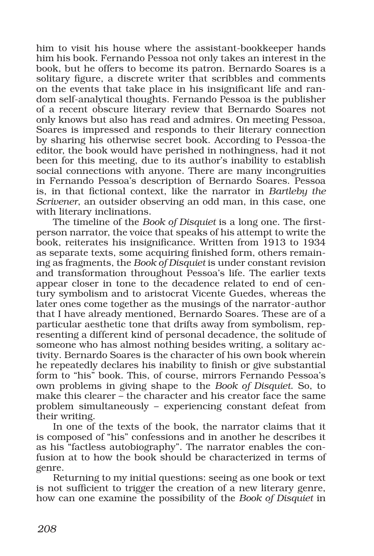him to visit his house where the assistant-bookkeeper hands him his book. Fernando Pessoa not only takes an interest in the book, but he offers to become its patron. Bernardo Soares is a solitary figure, a discrete writer that scribbles and comments on the events that take place in his insignificant life and random self-analytical thoughts. Fernando Pessoa is the publisher of a recent obscure literary review that Bernardo Soares not only knows but also has read and admires. On meeting Pessoa, Soares is impressed and responds to their literary connection by sharing his otherwise secret book. According to Pessoa-the editor, the book would have perished in nothingness, had it not been for this meeting, due to its author's inability to establish social connections with anyone. There are many incongruities in Fernando Pessoa's description of Bernardo Soares. Pessoa is, in that fictional context, like the narrator in *Bartleby the Scrivener*, an outsider observing an odd man, in this case, one with literary inclinations.

The timeline of the *Book of Disquiet* is a long one. The firstperson narrator, the voice that speaks of his attempt to write the book, reiterates his insignificance. Written from 1913 to 1934 as separate texts, some acquiring finished form, others remaining as fragments, the *Book of Disquiet* is under constant revision and transformation throughout Pessoa's life. The earlier texts appear closer in tone to the decadence related to end of century symbolism and to aristocrat Vicente Guedes, whereas the later ones come together as the musings of the narrator-author that I have already mentioned, Bernardo Soares. These are of a particular aesthetic tone that drifts away from symbolism, representing a different kind of personal decadence, the solitude of someone who has almost nothing besides writing, a solitary activity. Bernardo Soares is the character of his own book wherein he repeatedly declares his inability to finish or give substantial form to "his" book. This, of course, mirrors Fernando Pessoa's own problems in giving shape to the *Book of Disquiet*. So, to make this clearer – the character and his creator face the same problem simultaneously – experiencing constant defeat from their writing.

In one of the texts of the book, the narrator claims that it is composed of "his" confessions and in another he describes it as his "factless autobiography". The narrator enables the confusion at to how the book should be characterized in terms of genre.

Returning to my initial questions: seeing as one book or text is not sufficient to trigger the creation of a new literary genre, how can one examine the possibility of the *Book of Disquiet* in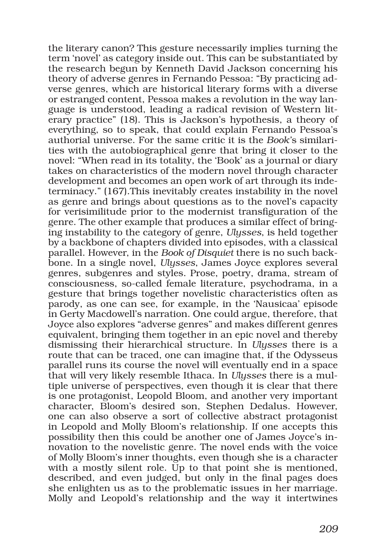the literary canon? This gesture necessarily implies turning the term 'novel' as category inside out. This can be substantiated by the research begun by Kenneth David Jackson concerning his theory of adverse genres in Fernando Pessoa: "By practicing adverse genres, which are historical literary forms with a diverse or estranged content, Pessoa makes a revolution in the way language is understood, leading a radical revision of Western literary practice" (18). This is Jackson's hypothesis, a theory of everything, so to speak, that could explain Fernando Pessoa's authorial universe. For the same critic it is the *Book'*s similarities with the autobiographical genre that bring it closer to the novel: "When read in its totality, the 'Book' as a journal or diary takes on characteristics of the modern novel through character development and becomes an open work of art through its indeterminacy." (167).This inevitably creates instability in the novel as genre and brings about questions as to the novel's capacity for verisimilitude prior to the modernist transfiguration of the genre. The other example that produces a similar effect of bringing instability to the category of genre, *Ulysses*, is held together by a backbone of chapters divided into episodes, with a classical parallel. However, in the *Book of Disquiet* there is no such backbone. In a single novel, *Ulysses*, James Joyce explores several genres, subgenres and styles. Prose, poetry, drama, stream of consciousness, so-called female literature, psychodrama, in a gesture that brings together novelistic characteristics often as parody, as one can see, for example, in the 'Nausicaa' episode in Gerty Macdowell's narration. One could argue, therefore, that Joyce also explores "adverse genres" and makes different genres equivalent, bringing them together in an epic novel and thereby dismissing their hierarchical structure. In *Ulysses* there is a route that can be traced, one can imagine that, if the Odysseus parallel runs its course the novel will eventually end in a space that will very likely resemble Ithaca. In *Ulysses* there is a multiple universe of perspectives, even though it is clear that there is one protagonist, Leopold Bloom, and another very important character, Bloom's desired son, Stephen Dedalus. However, one can also observe a sort of collective abstract protagonist in Leopold and Molly Bloom's relationship. If one accepts this possibility then this could be another one of James Joyce's innovation to the novelistic genre. The novel ends with the voice of Molly Bloom's inner thoughts, even though she is a character with a mostly silent role. Up to that point she is mentioned, described, and even judged, but only in the final pages does she enlighten us as to the problematic issues in her marriage. Molly and Leopold's relationship and the way it intertwines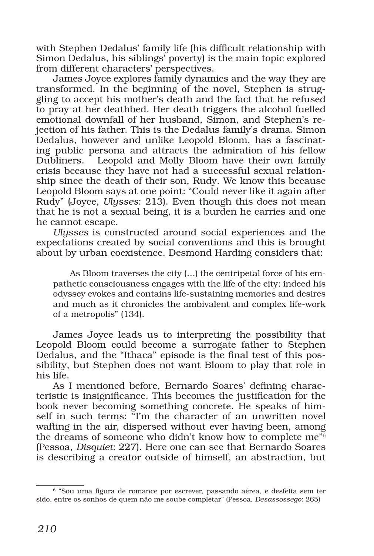with Stephen Dedalus' family life (his difficult relationship with Simon Dedalus, his siblings' poverty) is the main topic explored from different characters' perspectives.

James Joyce explores family dynamics and the way they are transformed. In the beginning of the novel, Stephen is struggling to accept his mother's death and the fact that he refused to pray at her deathbed. Her death triggers the alcohol fuelled emotional downfall of her husband, Simon, and Stephen's rejection of his father. This is the Dedalus family's drama. Simon Dedalus, however and unlike Leopold Bloom, has a fascinating public persona and attracts the admiration of his fellow Dubliners. Leopold and Molly Bloom have their own family crisis because they have not had a successful sexual relationship since the death of their son, Rudy. We know this because Leopold Bloom says at one point: "Could never like it again after Rudy" (Joyce, *Ulysses*: 213). Even though this does not mean that he is not a sexual being, it is a burden he carries and one he cannot escape.

*Ulysses* is constructed around social experiences and the expectations created by social conventions and this is brought about by urban coexistence. Desmond Harding considers that:

As Bloom traverses the city (…) the centripetal force of his empathetic consciousness engages with the life of the city; indeed his odyssey evokes and contains life-sustaining memories and desires and much as it chronicles the ambivalent and complex life-work of a metropolis" (134).

James Joyce leads us to interpreting the possibility that Leopold Bloom could become a surrogate father to Stephen Dedalus, and the "Ithaca" episode is the final test of this possibility, but Stephen does not want Bloom to play that role in his life.

As I mentioned before, Bernardo Soares' defining characteristic is insignificance. This becomes the justification for the book never becoming something concrete. He speaks of himself in such terms: "I'm the character of an unwritten novel wafting in the air, dispersed without ever having been, among the dreams of someone who didn't know how to complete me"6 (Pessoa, *Disquiet*: 227). Here one can see that Bernardo Soares is describing a creator outside of himself, an abstraction, but

<sup>6</sup> "Sou uma figura de romance por escrever, passando aérea, e desfeita sem ter sido, entre os sonhos de quem não me soube completar" (Pessoa, *Desassossego*: 265)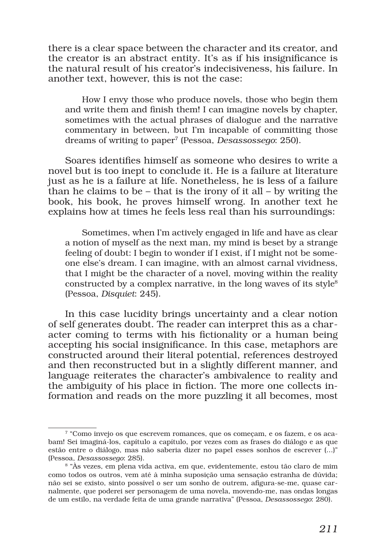there is a clear space between the character and its creator, and the creator is an abstract entity. It's as if his insignificance is the natural result of his creator's indecisiveness, his failure. In another text, however, this is not the case:

How I envy those who produce novels, those who begin them and write them and finish them! I can imagine novels by chapter, sometimes with the actual phrases of dialogue and the narrative commentary in between, but I'm incapable of committing those dreams of writing to paper7 (Pessoa, *Desassossego*: 250).

Soares identifies himself as someone who desires to write a novel but is too inept to conclude it. He is a failure at literature just as he is a failure at life. Nonetheless, he is less of a failure than he claims to be – that is the irony of it all – by writing the book, his book, he proves himself wrong. In another text he explains how at times he feels less real than his surroundings:

Sometimes, when I'm actively engaged in life and have as clear a notion of myself as the next man, my mind is beset by a strange feeling of doubt: I begin to wonder if I exist, if I might not be someone else's dream. I can imagine, with an almost carnal vividness, that I might be the character of a novel, moving within the reality constructed by a complex narrative, in the long waves of its style $8$ (Pessoa, *Disquiet*: 245).

In this case lucidity brings uncertainty and a clear notion of self generates doubt. The reader can interpret this as a character coming to terms with his fictionality or a human being accepting his social insignificance. In this case, metaphors are constructed around their literal potential, references destroyed and then reconstructed but in a slightly different manner, and language reiterates the character's ambivalence to reality and the ambiguity of his place in fiction. The more one collects information and reads on the more puzzling it all becomes, most

<sup>7</sup> "Como invejo os que escrevem romances, que os começam, e os fazem, e os acabam! Sei imaginá-los, capítulo a capítulo, por vezes com as frases do diálogo e as que estão entre o diálogo, mas não saberia dizer no papel esses sonhos de escrever (...)" (Pessoa, *Desassossego*: 285).

<sup>8 &</sup>quot;Às vezes, em plena vida activa, em que, evidentemente, estou tão claro de mim como todos os outros, vem até à minha suposição uma sensação estranha de dúvida; não sei se existo, sinto possível o ser um sonho de outrem, afigura-se-me, quase carnalmente, que poderei ser personagem de uma novela, movendo-me, nas ondas longas de um estilo, na verdade feita de uma grande narrativa" (Pessoa, *Desassossego*: 280).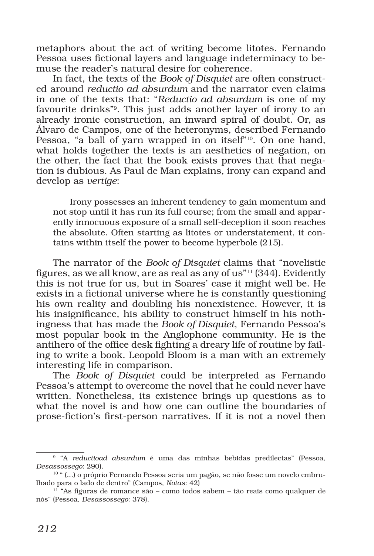metaphors about the act of writing become litotes. Fernando Pessoa uses fictional layers and language indeterminacy to bemuse the reader's natural desire for coherence.

In fact, the texts of the *Book of Disquiet* are often constructed around *reductio ad absurdum* and the narrator even claims in one of the texts that: "*Reductio ad absurdum* is one of my favourite drinks"9. This just adds another layer of irony to an already ironic construction, an inward spiral of doubt. Or, as Álvaro de Campos, one of the heteronyms, described Fernando Pessoa, "a ball of yarn wrapped in on itself"<sup>10</sup>. On one hand, what holds together the texts is an aesthetics of negation, on the other, the fact that the book exists proves that that negation is dubious. As Paul de Man explains, irony can expand and develop as *vertige*:

Irony possesses an inherent tendency to gain momentum and not stop until it has run its full course; from the small and apparently innocuous exposure of a small self-deception it soon reaches the absolute. Often starting as litotes or understatement, it contains within itself the power to become hyperbole (215).

The narrator of the *Book of Disquiet* claims that "novelistic figures, as we all know, are as real as any of us"11 (344). Evidently this is not true for us, but in Soares' case it might well be. He exists in a fictional universe where he is constantly questioning his own reality and doubling his nonexistence. However, it is his insignificance, his ability to construct himself in his nothingness that has made the *Book of Disquiet*, Fernando Pessoa's most popular book in the Anglophone community. He is the antihero of the office desk fighting a dreary life of routine by failing to write a book. Leopold Bloom is a man with an extremely interesting life in comparison.

The *Book of Disquiet* could be interpreted as Fernando Pessoa's attempt to overcome the novel that he could never have written. Nonetheless, its existence brings up questions as to what the novel is and how one can outline the boundaries of prose-fiction's first-person narratives. If it is not a novel then

<sup>9</sup> "A *reductioad absurdum* é uma das minhas bebidas predilectas" (Pessoa, *Desassossego*: 290).

<sup>10</sup> " (...) o próprio Fernando Pessoa seria um pagão, se não fosse um novelo embrulhado para o lado de dentro" (Campos, *Notas*: 42)

 $11$  "As figuras de romance são – como todos sabem – tão reais como qualquer de nós" (Pessoa, *Desassossego*: 378).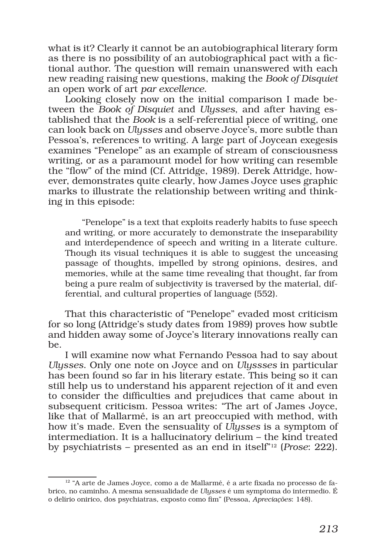what is it? Clearly it cannot be an autobiographical literary form as there is no possibility of an autobiographical pact with a fictional author. The question will remain unanswered with each new reading raising new questions, making the *Book of Disquiet* an open work of art *par excellence*.

Looking closely now on the initial comparison I made between the *Book of Disquiet* and *Ulysses*, and after having established that the *Book* is a self-referential piece of writing, one can look back on *Ulysses* and observe Joyce's, more subtle than Pessoa's, references to writing. A large part of Joycean exegesis examines "Penelope" as an example of stream of consciousness writing, or as a paramount model for how writing can resemble the "flow" of the mind (Cf. Attridge, 1989). Derek Attridge, however, demonstrates quite clearly, how James Joyce uses graphic marks to illustrate the relationship between writing and thinking in this episode:

"Penelope" is a text that exploits readerly habits to fuse speech and writing, or more accurately to demonstrate the inseparability and interdependence of speech and writing in a literate culture. Though its visual techniques it is able to suggest the unceasing passage of thoughts, impelled by strong opinions, desires, and memories, while at the same time revealing that thought, far from being a pure realm of subjectivity is traversed by the material, differential, and cultural properties of language (552).

That this characteristic of "Penelope" evaded most criticism for so long (Attridge's study dates from 1989) proves how subtle and hidden away some of Joyce's literary innovations really can be.

I will examine now what Fernando Pessoa had to say about *Ulysses*. Only one note on Joyce and on *Ulyssses* in particular has been found so far in his literary estate. This being so it can still help us to understand his apparent rejection of it and even to consider the difficulties and prejudices that came about in subsequent criticism. Pessoa writes: "The art of James Joyce, like that of Mallarmé, is an art preoccupied with method, with how it's made. Even the sensuality of *Ulysses* is a symptom of intermediation. It is a hallucinatory delirium – the kind treated by psychiatrists – presented as an end in itself"12 (*Prose*: 222).

<sup>&</sup>lt;sup>12</sup> "A arte de James Joyce, como a de Mallarmé, é a arte fixada no processo de fabrico, no caminho. A mesma sensualidade de *Ulysses* é um symptoma do intermedio. É o delírio onirico, dos psychiatras, exposto como fim" (Pessoa, *Apreciações*: 148).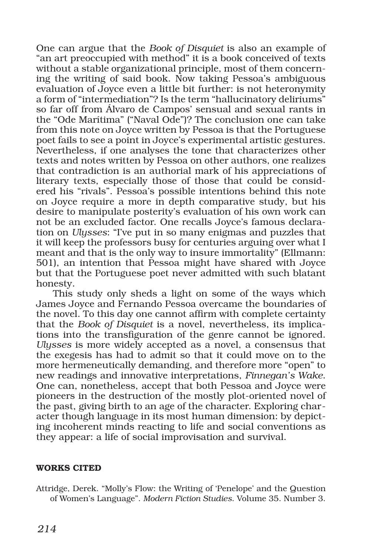One can argue that the *Book of Disquiet* is also an example of "an art preoccupied with method" it is a book conceived of texts without a stable organizational principle, most of them concerning the writing of said book. Now taking Pessoa's ambiguous evaluation of Joyce even a little bit further: is not heteronymity a form of "intermediation"? Is the term "hallucinatory deliriums" so far off from Álvaro de Campos' sensual and sexual rants in the "Ode Marítima" ("Naval Ode")? The conclusion one can take from this note on Joyce written by Pessoa is that the Portuguese poet fails to see a point in Joyce's experimental artistic gestures. Nevertheless, if one analyses the tone that characterizes other texts and notes written by Pessoa on other authors, one realizes that contradiction is an authorial mark of his appreciations of literary texts, especially those of those that could be considered his "rivals". Pessoa's possible intentions behind this note on Joyce require a more in depth comparative study, but his desire to manipulate posterity's evaluation of his own work can not be an excluded factor. One recalls Joyce's famous declaration on *Ulysses*: "I've put in so many enigmas and puzzles that it will keep the professors busy for centuries arguing over what I meant and that is the only way to insure immortality" (Ellmann: 501), an intention that Pessoa might have shared with Joyce but that the Portuguese poet never admitted with such blatant honesty.

This study only sheds a light on some of the ways which James Joyce and Fernando Pessoa overcame the boundaries of the novel. To this day one cannot affirm with complete certainty that the *Book of Disquiet* is a novel, nevertheless, its implications into the transfiguration of the genre cannot be ignored. *Ulysses* is more widely accepted as a novel, a consensus that the exegesis has had to admit so that it could move on to the more hermeneutically demanding, and therefore more "open" to new readings and innovative interpretations, *Finnegan's Wake*. One can, nonetheless, accept that both Pessoa and Joyce were pioneers in the destruction of the mostly plot-oriented novel of the past, giving birth to an age of the character. Exploring character though language in its most human dimension: by depicting incoherent minds reacting to life and social conventions as they appear: a life of social improvisation and survival.

## WORKS CITED

Attridge, Derek. "Molly's Flow: the Writing of 'Penelope' and the Question of Women's Language". *Modern Fiction Studies*. Volume 35. Number 3.